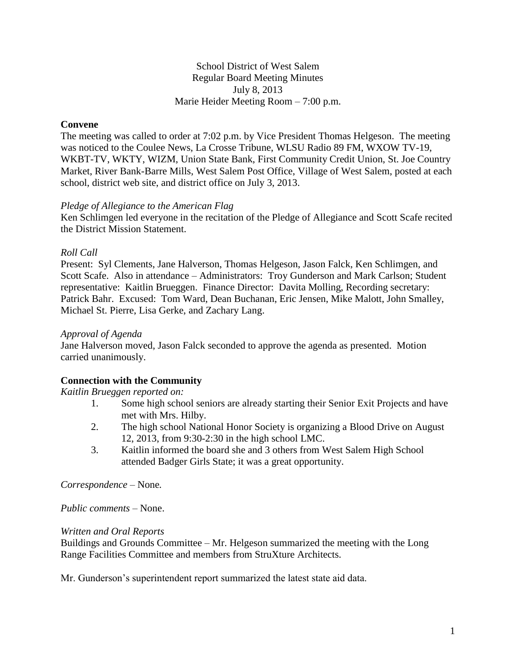### School District of West Salem Regular Board Meeting Minutes July 8, 2013 Marie Heider Meeting Room – 7:00 p.m.

## **Convene**

The meeting was called to order at 7:02 p.m. by Vice President Thomas Helgeson. The meeting was noticed to the Coulee News, La Crosse Tribune, WLSU Radio 89 FM, WXOW TV-19, WKBT-TV, WKTY, WIZM, Union State Bank, First Community Credit Union, St. Joe Country Market, River Bank-Barre Mills, West Salem Post Office, Village of West Salem, posted at each school, district web site, and district office on July 3, 2013.

#### *Pledge of Allegiance to the American Flag*

Ken Schlimgen led everyone in the recitation of the Pledge of Allegiance and Scott Scafe recited the District Mission Statement.

### *Roll Call*

Present: Syl Clements, Jane Halverson, Thomas Helgeson, Jason Falck, Ken Schlimgen, and Scott Scafe. Also in attendance – Administrators: Troy Gunderson and Mark Carlson; Student representative: Kaitlin Brueggen. Finance Director: Davita Molling, Recording secretary: Patrick Bahr. Excused: Tom Ward, Dean Buchanan, Eric Jensen, Mike Malott, John Smalley, Michael St. Pierre, Lisa Gerke, and Zachary Lang.

#### *Approval of Agenda*

Jane Halverson moved, Jason Falck seconded to approve the agenda as presented. Motion carried unanimously.

## **Connection with the Community**

#### *Kaitlin Brueggen reported on:*

- 1. Some high school seniors are already starting their Senior Exit Projects and have met with Mrs. Hilby.
- 2. The high school National Honor Society is organizing a Blood Drive on August 12, 2013, from 9:30-2:30 in the high school LMC.
- 3. Kaitlin informed the board she and 3 others from West Salem High School attended Badger Girls State; it was a great opportunity.

*Correspondence –* None*.*

*Public comments –* None.

#### *Written and Oral Reports*

Buildings and Grounds Committee – Mr. Helgeson summarized the meeting with the Long Range Facilities Committee and members from StruXture Architects.

Mr. Gunderson's superintendent report summarized the latest state aid data.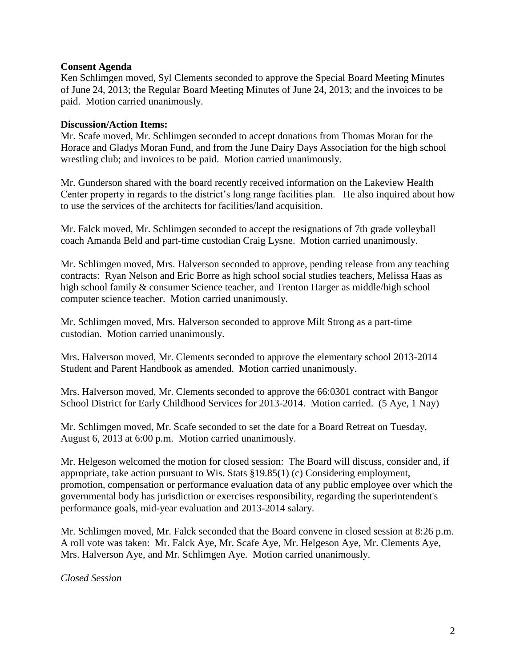### **Consent Agenda**

Ken Schlimgen moved, Syl Clements seconded to approve the Special Board Meeting Minutes of June 24, 2013; the Regular Board Meeting Minutes of June 24, 2013; and the invoices to be paid. Motion carried unanimously.

### **Discussion/Action Items:**

Mr. Scafe moved, Mr. Schlimgen seconded to accept donations from Thomas Moran for the Horace and Gladys Moran Fund, and from the June Dairy Days Association for the high school wrestling club; and invoices to be paid. Motion carried unanimously.

Mr. Gunderson shared with the board recently received information on the Lakeview Health Center property in regards to the district's long range facilities plan. He also inquired about how to use the services of the architects for facilities/land acquisition.

Mr. Falck moved, Mr. Schlimgen seconded to accept the resignations of 7th grade volleyball coach Amanda Beld and part-time custodian Craig Lysne. Motion carried unanimously.

Mr. Schlimgen moved, Mrs. Halverson seconded to approve, pending release from any teaching contracts: Ryan Nelson and Eric Borre as high school social studies teachers, Melissa Haas as high school family & consumer Science teacher, and Trenton Harger as middle/high school computer science teacher. Motion carried unanimously.

Mr. Schlimgen moved, Mrs. Halverson seconded to approve Milt Strong as a part-time custodian. Motion carried unanimously.

Mrs. Halverson moved, Mr. Clements seconded to approve the elementary school 2013-2014 Student and Parent Handbook as amended. Motion carried unanimously.

Mrs. Halverson moved, Mr. Clements seconded to approve the 66:0301 contract with Bangor School District for Early Childhood Services for 2013-2014. Motion carried. (5 Aye, 1 Nay)

Mr. Schlimgen moved, Mr. Scafe seconded to set the date for a Board Retreat on Tuesday, August 6, 2013 at 6:00 p.m. Motion carried unanimously.

Mr. Helgeson welcomed the motion for closed session: The Board will discuss, consider and, if appropriate, take action pursuant to Wis. Stats §19.85(1) (c) Considering employment, promotion, compensation or performance evaluation data of any public employee over which the governmental body has jurisdiction or exercises responsibility, regarding the superintendent's performance goals, mid-year evaluation and 2013-2014 salary.

Mr. Schlimgen moved, Mr. Falck seconded that the Board convene in closed session at 8:26 p.m. A roll vote was taken: Mr. Falck Aye, Mr. Scafe Aye, Mr. Helgeson Aye, Mr. Clements Aye, Mrs. Halverson Aye, and Mr. Schlimgen Aye. Motion carried unanimously.

*Closed Session*